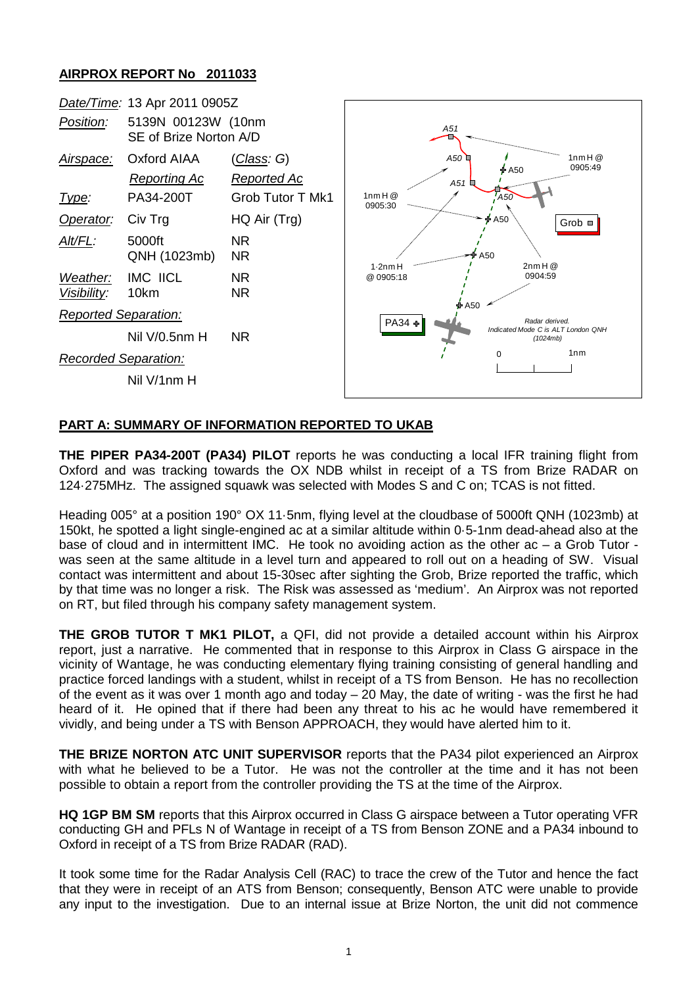## **AIRPROX REPORT No 2011033**



## **PART A: SUMMARY OF INFORMATION REPORTED TO UKAB**

**THE PIPER PA34-200T (PA34) PILOT** reports he was conducting a local IFR training flight from Oxford and was tracking towards the OX NDB whilst in receipt of a TS from Brize RADAR on 124·275MHz. The assigned squawk was selected with Modes S and C on; TCAS is not fitted.

Heading 005° at a position 190° OX 11·5nm, flying level at the cloudbase of 5000ft QNH (1023mb) at 150kt, he spotted a light single-engined ac at a similar altitude within 0·5-1nm dead-ahead also at the base of cloud and in intermittent IMC. He took no avoiding action as the other ac – a Grob Tutor was seen at the same altitude in a level turn and appeared to roll out on a heading of SW. Visual contact was intermittent and about 15-30sec after sighting the Grob, Brize reported the traffic, which by that time was no longer a risk. The Risk was assessed as 'medium'. An Airprox was not reported on RT, but filed through his company safety management system.

**THE GROB TUTOR T MK1 PILOT,** a QFI, did not provide a detailed account within his Airprox report, just a narrative. He commented that in response to this Airprox in Class G airspace in the vicinity of Wantage, he was conducting elementary flying training consisting of general handling and practice forced landings with a student, whilst in receipt of a TS from Benson. He has no recollection of the event as it was over 1 month ago and today – 20 May, the date of writing - was the first he had heard of it. He opined that if there had been any threat to his ac he would have remembered it vividly, and being under a TS with Benson APPROACH, they would have alerted him to it.

**THE BRIZE NORTON ATC UNIT SUPERVISOR** reports that the PA34 pilot experienced an Airprox with what he believed to be a Tutor. He was not the controller at the time and it has not been possible to obtain a report from the controller providing the TS at the time of the Airprox.

**HQ 1GP BM SM** reports that this Airprox occurred in Class G airspace between a Tutor operating VFR conducting GH and PFLs N of Wantage in receipt of a TS from Benson ZONE and a PA34 inbound to Oxford in receipt of a TS from Brize RADAR (RAD).

It took some time for the Radar Analysis Cell (RAC) to trace the crew of the Tutor and hence the fact that they were in receipt of an ATS from Benson; consequently, Benson ATC were unable to provide any input to the investigation. Due to an internal issue at Brize Norton, the unit did not commence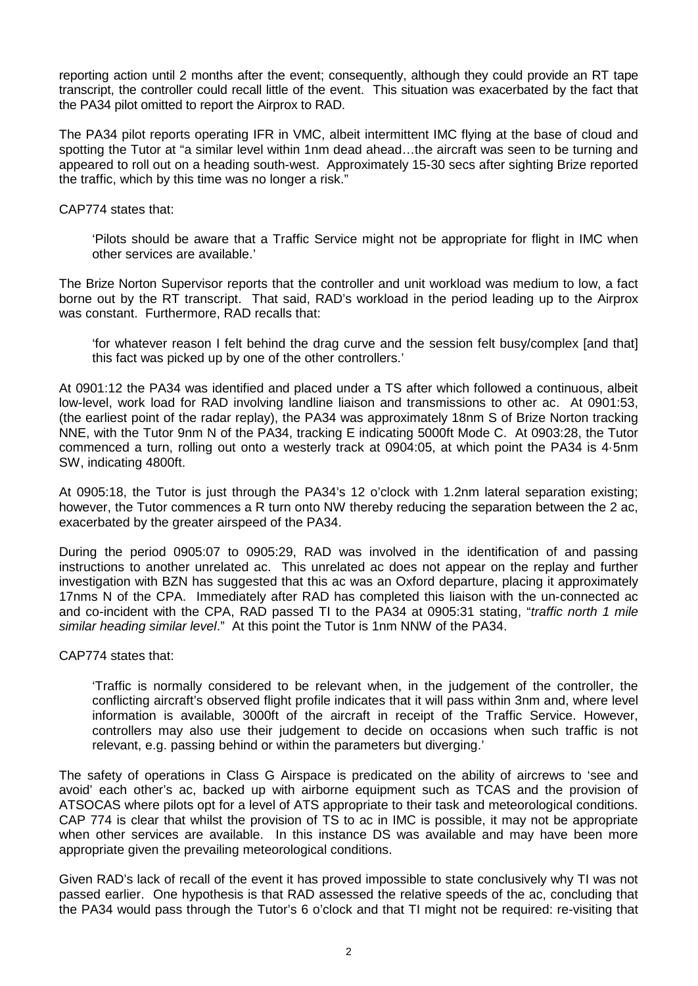reporting action until 2 months after the event; consequently, although they could provide an RT tape transcript, the controller could recall little of the event. This situation was exacerbated by the fact that the PA34 pilot omitted to report the Airprox to RAD.

The PA34 pilot reports operating IFR in VMC, albeit intermittent IMC flying at the base of cloud and spotting the Tutor at "a similar level within 1nm dead ahead…the aircraft was seen to be turning and appeared to roll out on a heading south-west. Approximately 15-30 secs after sighting Brize reported the traffic, which by this time was no longer a risk."

CAP774 states that:

'Pilots should be aware that a Traffic Service might not be appropriate for flight in IMC when other services are available.'

The Brize Norton Supervisor reports that the controller and unit workload was medium to low, a fact borne out by the RT transcript. That said, RAD's workload in the period leading up to the Airprox was constant. Furthermore, RAD recalls that:

'for whatever reason I felt behind the drag curve and the session felt busy/complex [and that] this fact was picked up by one of the other controllers.'

At 0901:12 the PA34 was identified and placed under a TS after which followed a continuous, albeit low-level, work load for RAD involving landline liaison and transmissions to other ac. At 0901:53, (the earliest point of the radar replay), the PA34 was approximately 18nm S of Brize Norton tracking NNE, with the Tutor 9nm N of the PA34, tracking E indicating 5000ft Mode C. At 0903:28, the Tutor commenced a turn, rolling out onto a westerly track at 0904:05, at which point the PA34 is 4·5nm SW, indicating 4800ft.

At 0905:18, the Tutor is just through the PA34's 12 o'clock with 1.2nm lateral separation existing; however, the Tutor commences a R turn onto NW thereby reducing the separation between the 2 ac, exacerbated by the greater airspeed of the PA34.

During the period 0905:07 to 0905:29, RAD was involved in the identification of and passing instructions to another unrelated ac. This unrelated ac does not appear on the replay and further investigation with BZN has suggested that this ac was an Oxford departure, placing it approximately 17nms N of the CPA. Immediately after RAD has completed this liaison with the un-connected ac and co-incident with the CPA, RAD passed TI to the PA34 at 0905:31 stating, "*traffic north 1 mile similar heading similar level*." At this point the Tutor is 1nm NNW of the PA34.

CAP774 states that:

'Traffic is normally considered to be relevant when, in the judgement of the controller, the conflicting aircraft's observed flight profile indicates that it will pass within 3nm and, where level information is available, 3000ft of the aircraft in receipt of the Traffic Service. However, controllers may also use their judgement to decide on occasions when such traffic is not relevant, e.g. passing behind or within the parameters but diverging.'

The safety of operations in Class G Airspace is predicated on the ability of aircrews to 'see and avoid' each other's ac, backed up with airborne equipment such as TCAS and the provision of ATSOCAS where pilots opt for a level of ATS appropriate to their task and meteorological conditions. CAP 774 is clear that whilst the provision of TS to ac in IMC is possible, it may not be appropriate when other services are available. In this instance DS was available and may have been more appropriate given the prevailing meteorological conditions.

Given RAD's lack of recall of the event it has proved impossible to state conclusively why TI was not passed earlier. One hypothesis is that RAD assessed the relative speeds of the ac, concluding that the PA34 would pass through the Tutor's 6 o'clock and that TI might not be required: re-visiting that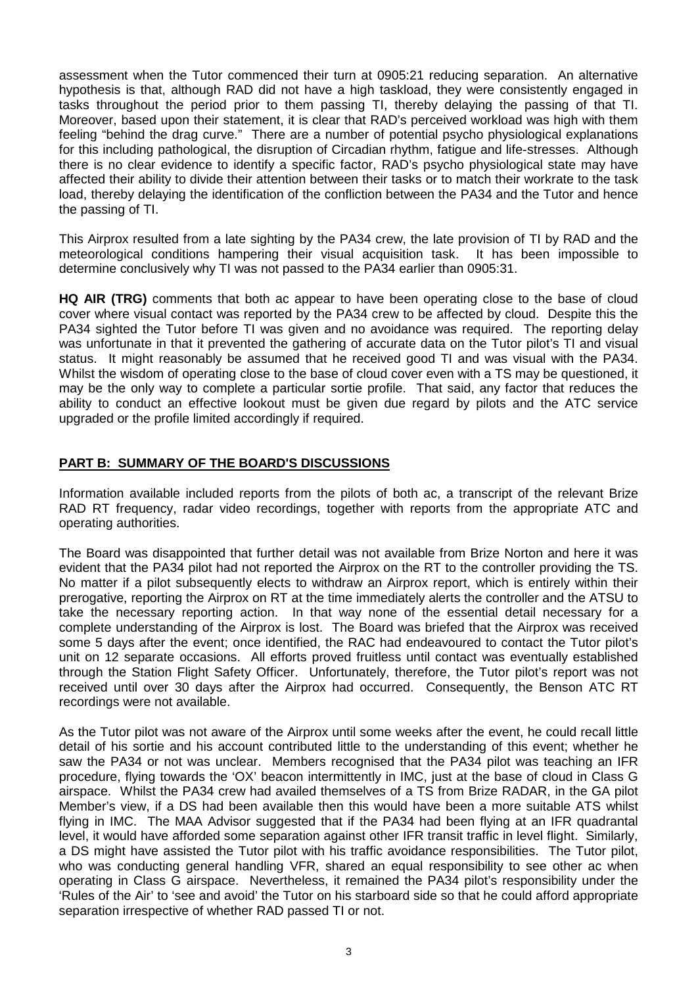assessment when the Tutor commenced their turn at 0905:21 reducing separation. An alternative hypothesis is that, although RAD did not have a high taskload, they were consistently engaged in tasks throughout the period prior to them passing TI, thereby delaying the passing of that TI. Moreover, based upon their statement, it is clear that RAD's perceived workload was high with them feeling "behind the drag curve." There are a number of potential psycho physiological explanations for this including pathological, the disruption of Circadian rhythm, fatigue and life-stresses. Although there is no clear evidence to identify a specific factor, RAD's psycho physiological state may have affected their ability to divide their attention between their tasks or to match their workrate to the task load, thereby delaying the identification of the confliction between the PA34 and the Tutor and hence the passing of TI.

This Airprox resulted from a late sighting by the PA34 crew, the late provision of TI by RAD and the meteorological conditions hampering their visual acquisition task. It has been impossible to determine conclusively why TI was not passed to the PA34 earlier than 0905:31.

**HQ AIR (TRG)** comments that both ac appear to have been operating close to the base of cloud cover where visual contact was reported by the PA34 crew to be affected by cloud. Despite this the PA34 sighted the Tutor before TI was given and no avoidance was required. The reporting delay was unfortunate in that it prevented the gathering of accurate data on the Tutor pilot's TI and visual status. It might reasonably be assumed that he received good TI and was visual with the PA34. Whilst the wisdom of operating close to the base of cloud cover even with a TS may be questioned, it may be the only way to complete a particular sortie profile. That said, any factor that reduces the ability to conduct an effective lookout must be given due regard by pilots and the ATC service upgraded or the profile limited accordingly if required.

## **PART B: SUMMARY OF THE BOARD'S DISCUSSIONS**

Information available included reports from the pilots of both ac, a transcript of the relevant Brize RAD RT frequency, radar video recordings, together with reports from the appropriate ATC and operating authorities.

The Board was disappointed that further detail was not available from Brize Norton and here it was evident that the PA34 pilot had not reported the Airprox on the RT to the controller providing the TS. No matter if a pilot subsequently elects to withdraw an Airprox report, which is entirely within their prerogative, reporting the Airprox on RT at the time immediately alerts the controller and the ATSU to take the necessary reporting action. In that way none of the essential detail necessary for a complete understanding of the Airprox is lost. The Board was briefed that the Airprox was received some 5 days after the event; once identified, the RAC had endeavoured to contact the Tutor pilot's unit on 12 separate occasions. All efforts proved fruitless until contact was eventually established through the Station Flight Safety Officer. Unfortunately, therefore, the Tutor pilot's report was not received until over 30 days after the Airprox had occurred. Consequently, the Benson ATC RT recordings were not available.

As the Tutor pilot was not aware of the Airprox until some weeks after the event, he could recall little detail of his sortie and his account contributed little to the understanding of this event; whether he saw the PA34 or not was unclear. Members recognised that the PA34 pilot was teaching an IFR procedure, flying towards the 'OX' beacon intermittently in IMC, just at the base of cloud in Class G airspace. Whilst the PA34 crew had availed themselves of a TS from Brize RADAR, in the GA pilot Member's view, if a DS had been available then this would have been a more suitable ATS whilst flying in IMC. The MAA Advisor suggested that if the PA34 had been flying at an IFR quadrantal level, it would have afforded some separation against other IFR transit traffic in level flight. Similarly, a DS might have assisted the Tutor pilot with his traffic avoidance responsibilities. The Tutor pilot, who was conducting general handling VFR, shared an equal responsibility to see other ac when operating in Class G airspace. Nevertheless, it remained the PA34 pilot's responsibility under the 'Rules of the Air' to 'see and avoid' the Tutor on his starboard side so that he could afford appropriate separation irrespective of whether RAD passed TI or not.